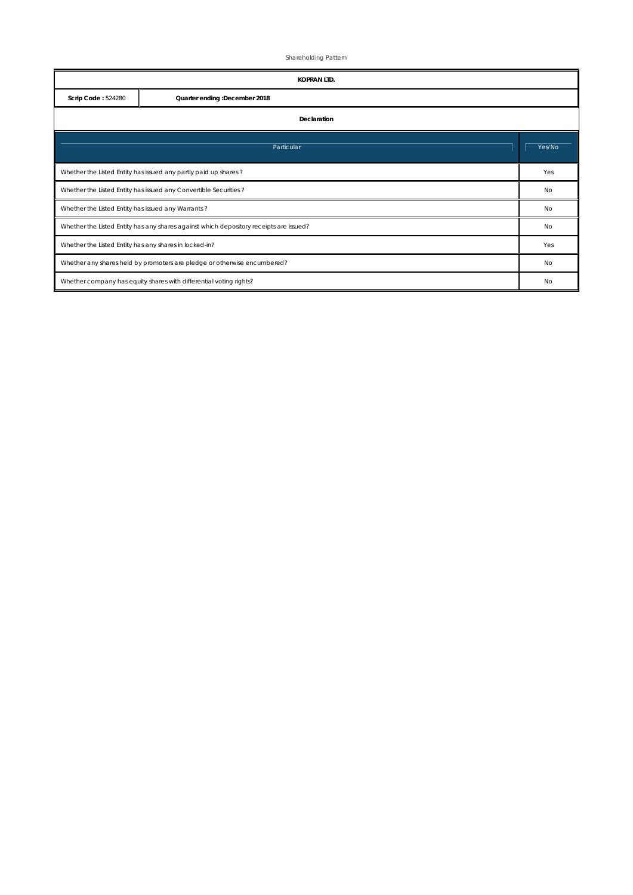Shareholding Pattern

|                                                                                        | <b>KOPRAN LTD.</b>                                                 |    |  |  |  |  |  |  |  |
|----------------------------------------------------------------------------------------|--------------------------------------------------------------------|----|--|--|--|--|--|--|--|
| Scrip Code: 524280<br>Quarter ending :December 2018                                    |                                                                    |    |  |  |  |  |  |  |  |
| Declaration                                                                            |                                                                    |    |  |  |  |  |  |  |  |
| Particular                                                                             |                                                                    |    |  |  |  |  |  |  |  |
| Whether the Listed Entity has issued any partly paid up shares?                        |                                                                    |    |  |  |  |  |  |  |  |
| Whether the Listed Entity has issued any Convertible Securities?                       |                                                                    |    |  |  |  |  |  |  |  |
| Whether the Listed Entity has issued any Warrants?                                     |                                                                    |    |  |  |  |  |  |  |  |
| Whether the Listed Entity has any shares against which depository receipts are issued? |                                                                    |    |  |  |  |  |  |  |  |
| Whether the Listed Entity has any shares in locked-in?                                 |                                                                    |    |  |  |  |  |  |  |  |
| Whether any shares held by promoters are pledge or otherwise encumbered?               |                                                                    |    |  |  |  |  |  |  |  |
|                                                                                        | Whether company has equity shares with differential voting rights? | No |  |  |  |  |  |  |  |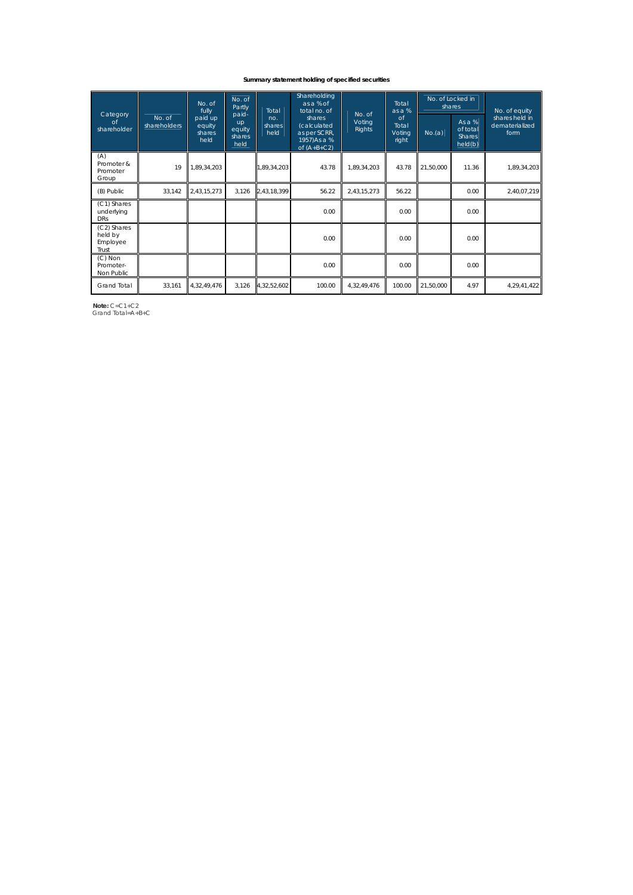## **Summary statement holding of specified securities**

| Category<br>of<br>shareholder               |                        | $\overline{No}$ . of<br>fully<br>paid up<br>equity<br>shares<br>held | No. of<br>Partly<br>paid-<br>up<br>equity<br>shares<br>held | Total<br>no.<br>shares<br>held | Shareholding<br>as a % of<br>total no. of<br>shares<br>(calculated<br>as per SCRR,<br>1957)As a %<br>of $(A+B+C2)$ | No. of<br>Voting<br>Rights | Total<br>as a %<br>$\circ$<br>Total<br>Voting<br>right | No. of Locked in<br>shares |                                                  | No. of equity                            |
|---------------------------------------------|------------------------|----------------------------------------------------------------------|-------------------------------------------------------------|--------------------------------|--------------------------------------------------------------------------------------------------------------------|----------------------------|--------------------------------------------------------|----------------------------|--------------------------------------------------|------------------------------------------|
|                                             | No. of<br>shareholders |                                                                      |                                                             |                                |                                                                                                                    |                            |                                                        | No.(a)                     | As $a\%$<br>of total<br><b>Shares</b><br>held(b) | shares held in<br>dematerialized<br>form |
| (A)<br>Promoter &<br>Promoter<br>Group      | 19                     | 1,89,34,203                                                          |                                                             | 1,89,34,203                    | 43.78                                                                                                              | 1,89,34,203                | 43.78                                                  | 21,50,000                  | 11.36                                            | 1,89,34,203                              |
| (B) Public                                  | 33,142                 | 2,43,15,273                                                          | 3,126                                                       | 2,43,18,399                    | 56.22                                                                                                              | 2,43,15,273                | 56.22                                                  |                            | 0.00                                             | 2,40,07,219                              |
| (C1) Shares<br>underlying<br><b>DRs</b>     |                        |                                                                      |                                                             |                                | 0.00                                                                                                               |                            | 0.00                                                   |                            | 0.00                                             |                                          |
| (C2) Shares<br>held by<br>Employee<br>Trust |                        |                                                                      |                                                             |                                | 0.00                                                                                                               |                            | 0.00                                                   |                            | 0.00                                             |                                          |
| $(C)$ Non<br>Promoter-<br>Non Public        |                        |                                                                      |                                                             |                                | 0.00                                                                                                               |                            | 0.00                                                   |                            | 0.00                                             |                                          |
| <b>Grand Total</b>                          | 33,161                 | 4,32,49,476                                                          | 3,126                                                       | 4,32,52,602                    | 100.00                                                                                                             | 4,32,49,476                | 100.00                                                 | 21,50,000                  | 4.97                                             | 4,29,41,422                              |

 **Note:** C=C1+C2 Grand Total=A+B+C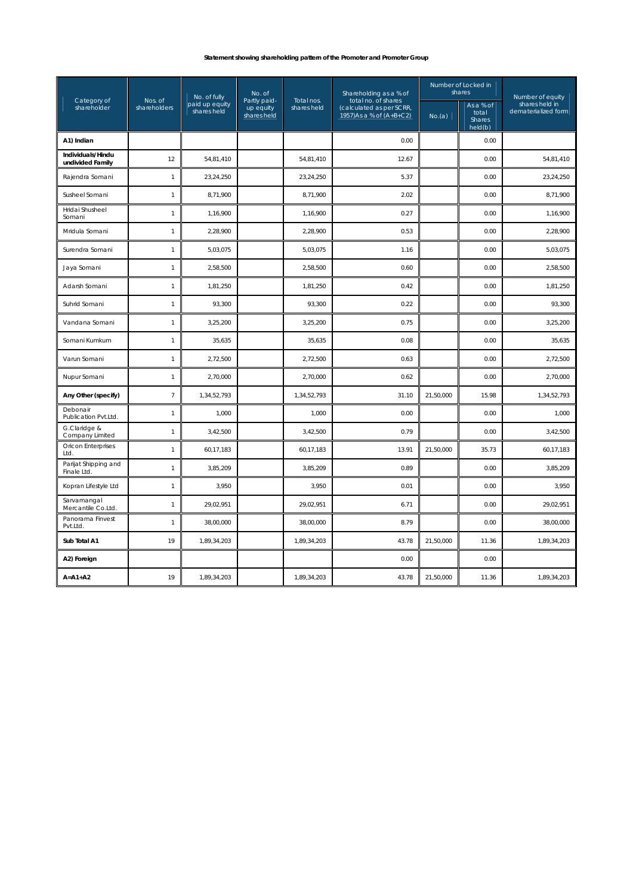## **Statement showing shareholding pattern of the Promoter and Promoter Group**

|                                       |                         | No. of fully                  | No. of                                   |                           | Shareholding as a % of                                                      |           | Number of Locked in<br>shares           | Number of equity                      |  |
|---------------------------------------|-------------------------|-------------------------------|------------------------------------------|---------------------------|-----------------------------------------------------------------------------|-----------|-----------------------------------------|---------------------------------------|--|
| Category of<br>shareholder            | Nos. of<br>shareholders | paid up equity<br>shares held | Partly paid-<br>up equity<br>shares held | Total nos.<br>shares held | total no. of shares<br>(calculated as per SCRR,<br>1957) As a % of (A+B+C2) | No.(a)    | As a % of<br>total<br>Shares<br>held(b) | shares held in<br>dematerialized form |  |
| A1) Indian                            |                         |                               |                                          |                           | 0.00                                                                        |           | 0.00                                    |                                       |  |
| Individuals/Hindu<br>undivided Family | 12                      | 54,81,410                     |                                          | 54,81,410                 | 12.67                                                                       |           | 0.00                                    | 54,81,410                             |  |
| Rajendra Somani                       | $\mathbf{1}$            | 23,24,250                     |                                          | 23,24,250                 | 5.37                                                                        |           | 0.00                                    | 23,24,250                             |  |
| Susheel Somani                        | $\mathbf{1}$            | 8,71,900                      |                                          | 8,71,900                  | 2.02                                                                        |           | 0.00                                    | 8,71,900                              |  |
| Hridai Shusheel<br>Somani             | $\mathbf{1}$            | 1,16,900                      |                                          | 1,16,900                  | 0.27                                                                        |           | 0.00                                    | 1,16,900                              |  |
| Mridula Somani                        | 1                       | 2,28,900                      |                                          | 2,28,900                  | 0.53                                                                        |           | 0.00                                    | 2,28,900                              |  |
| Surendra Somani                       | $\mathbf{1}$            | 5,03,075                      |                                          | 5,03,075                  | 1.16                                                                        |           | 0.00                                    | 5,03,075                              |  |
| Jaya Somani                           | 1                       | 2,58,500                      |                                          | 2,58,500                  | 0.60                                                                        |           | 0.00                                    | 2,58,500                              |  |
| Adarsh Somani                         | 1                       | 1,81,250                      |                                          | 1,81,250                  | 0.42                                                                        |           | 0.00                                    | 1,81,250                              |  |
| Suhrid Somani                         | 1                       | 93,300                        |                                          | 93,300                    | 0.22                                                                        |           | 0.00                                    | 93,300                                |  |
| Vandana Somani                        | 1                       | 3,25,200                      |                                          | 3,25,200                  | 0.75                                                                        |           | 0.00                                    | 3,25,200                              |  |
| Somani Kumkum                         | 1                       | 35,635                        |                                          | 35,635                    | 0.08                                                                        |           | 0.00                                    | 35,635                                |  |
| Varun Somani                          | 1                       | 2,72,500                      |                                          | 2,72,500                  | 0.63                                                                        |           | 0.00                                    | 2,72,500                              |  |
| Nupur Somani                          | 1                       | 2,70,000                      |                                          | 2,70,000                  | 0.62                                                                        |           | 0.00                                    | 2,70,000                              |  |
| Any Other (specify)                   | $\overline{7}$          | 1,34,52,793                   |                                          | 1,34,52,793               | 31.10                                                                       | 21,50,000 | 15.98                                   | 1,34,52,793                           |  |
| Debonair<br>Publication Pvt.Ltd.      | $\mathbf{1}$            | 1,000                         |                                          | 1,000                     | 0.00                                                                        |           | 0.00                                    | 1,000                                 |  |
| G.Claridge &<br>Company Limited       | 1                       | 3,42,500                      |                                          | 3,42,500                  | 0.79                                                                        |           | 0.00                                    | 3,42,500                              |  |
| <b>Oricon Enterprises</b><br>Ltd.     | 1                       | 60,17,183                     |                                          | 60,17,183                 | 13.91                                                                       | 21,50,000 | 35.73                                   | 60,17,183                             |  |
| Parijat Shipping and<br>Finale Ltd.   | 1                       | 3,85,209                      |                                          | 3,85,209                  | 0.89                                                                        |           | 0.00                                    | 3,85,209                              |  |
| Kopran Lifestyle Ltd                  | 1                       | 3,950                         |                                          | 3,950                     | 0.01                                                                        |           | 0.00                                    | 3,950                                 |  |
| Sarvamangal<br>Mercantile Co.Ltd.     | 1                       | 29,02,951                     |                                          | 29,02,951                 | 6.71                                                                        |           | 0.00                                    | 29,02,951                             |  |
| Panorama Finvest<br>Pvt.Ltd.          | 1                       | 38,00,000                     |                                          | 38,00,000                 | 8.79                                                                        |           | 0.00                                    | 38,00,000                             |  |
| Sub Total A1                          | 19                      | 1,89,34,203                   |                                          | 1,89,34,203               | 43.78                                                                       | 21,50,000 | 11.36                                   | 1,89,34,203                           |  |
| A2) Foreign                           |                         |                               |                                          |                           | 0.00                                                                        |           | 0.00                                    |                                       |  |
| $A = A1 + A2$                         | 19                      | 1,89,34,203                   |                                          | 1,89,34,203               | 43.78                                                                       | 21,50,000 | 11.36                                   | 1,89,34,203                           |  |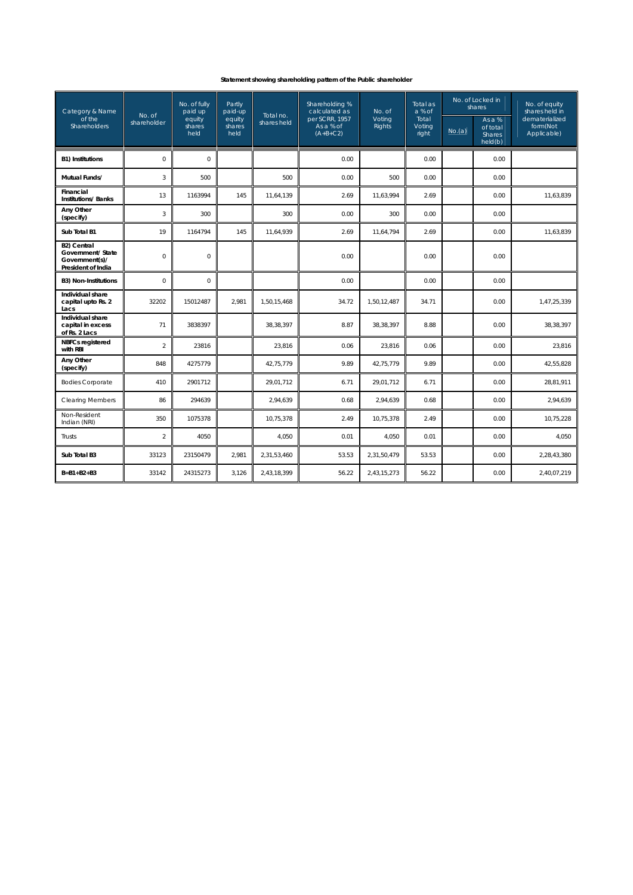## **Statement showing shareholding pattern of the Public shareholder**

| Category & Name                                                                 |                       | No. of fully<br>paid up  | Partly<br>paid-up        |                          | Shareholding %<br>calculated as           | No. of                  | Total as<br>a % of       | No. of Locked in<br>shares |                                                  | No. of equity<br>shares held in           |
|---------------------------------------------------------------------------------|-----------------------|--------------------------|--------------------------|--------------------------|-------------------------------------------|-------------------------|--------------------------|----------------------------|--------------------------------------------------|-------------------------------------------|
| of the<br><b>Shareholders</b>                                                   | No. of<br>shareholder | equity<br>shares<br>held | equity<br>shares<br>held | Total no.<br>shares held | per SCRR, 1957<br>As a % of<br>$(A+B+C2)$ | Voting<br><b>Rights</b> | Total<br>Voting<br>right | No.(a)                     | As a $%$<br>of total<br><b>Shares</b><br>held(b) | dematerialized<br>form(Not<br>Applicable) |
| <b>B1) Institutions</b>                                                         | $\overline{O}$        | $\overline{0}$           |                          |                          | 0.00                                      |                         | 0.00                     |                            | 0.00                                             |                                           |
| Mutual Funds/                                                                   | $\sqrt{3}$            | 500                      |                          | 500                      | 0.00                                      | 500                     | 0.00                     |                            | 0.00                                             |                                           |
| Financial<br><b>Institutions/Banks</b>                                          | 13                    | 1163994                  | 145                      | 11,64,139                | 2.69                                      | 11,63,994               | 2.69                     |                            | 0.00                                             | 11,63,839                                 |
| Any Other<br>(specify)                                                          | 3                     | 300                      |                          | 300                      | 0.00                                      | 300                     | 0.00                     |                            | 0.00                                             |                                           |
| Sub Total B1                                                                    | 19                    | 1164794                  | 145                      | 11,64,939                | 2.69                                      | 11,64,794               | 2.69                     |                            | 0.00                                             | 11,63,839                                 |
| <b>B2) Central</b><br>Government/ State<br>Government(s)/<br>President of India | $\Omega$              | $\mathsf{O}\xspace$      |                          |                          | 0.00                                      |                         | 0.00                     |                            | 0.00                                             |                                           |
| <b>B3) Non-Institutions</b>                                                     | $\mathbf 0$           | $\mathbf 0$              |                          |                          | 0.00                                      |                         | 0.00                     |                            | 0.00                                             |                                           |
| Individual share<br>capital upto Rs. 2<br>Lacs                                  | 32202                 | 15012487                 | 2.981                    | 1,50,15,468              | 34.72                                     | 1,50,12,487             | 34.71                    |                            | 0.00                                             | 1,47,25,339                               |
| Individual share<br>capital in excess<br>of Rs. 2 Lacs                          | 71                    | 3838397                  |                          | 38,38,397                | 8.87                                      | 38,38,397               | 8.88                     |                            | 0.00                                             | 38,38,397                                 |
| <b>NBFCs registered</b><br>with RBI                                             | $\overline{c}$        | 23816                    |                          | 23,816                   | 0.06                                      | 23,816                  | 0.06                     |                            | 0.00                                             | 23,816                                    |
| Any Other<br>(specify)                                                          | 848                   | 4275779                  |                          | 42,75,779                | 9.89                                      | 42,75,779               | 9.89                     |                            | 0.00                                             | 42,55,828                                 |
| <b>Bodies Corporate</b>                                                         | 410                   | 2901712                  |                          | 29,01,712                | 6.71                                      | 29,01,712               | 6.71                     |                            | 0.00                                             | 28,81,911                                 |
| <b>Clearing Members</b>                                                         | 86                    | 294639                   |                          | 2,94,639                 | 0.68                                      | 2,94,639                | 0.68                     |                            | 0.00                                             | 2,94,639                                  |
| Non-Resident<br>Indian (NRI)                                                    | 350                   | 1075378                  |                          | 10,75,378                | 2.49                                      | 10,75,378               | 2.49                     |                            | 0.00                                             | 10,75,228                                 |
| Trusts                                                                          | $\overline{2}$        | 4050                     |                          | 4,050                    | 0.01                                      | 4,050                   | 0.01                     |                            | 0.00                                             | 4,050                                     |
| Sub Total B3                                                                    | 33123                 | 23150479                 | 2,981                    | 2,31,53,460              | 53.53                                     | 2,31,50,479             | 53.53                    |                            | 0.00                                             | 2,28,43,380                               |
| $B = B1 + B2 + B3$                                                              | 33142                 | 24315273                 | 3,126                    | 2,43,18,399              | 56.22                                     | 2,43,15,273             | 56.22                    |                            | 0.00                                             | 2,40,07,219                               |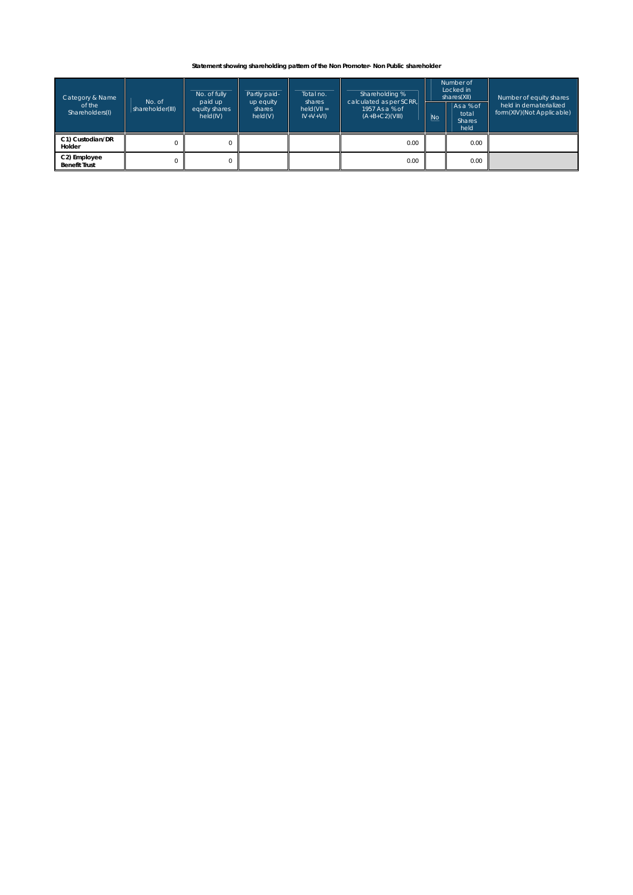## **Statement showing shareholding pattern of the Non Promoter- Non Public shareholder**

| Category & Name<br>of the<br>Shareholders(I) | No. of<br>shareholder(III) | No. of fully<br>paid up<br>equity shares<br>held(IV) | Partly paid-<br>up equity<br>shares<br>held(V) | Total no.<br>shares<br>$held(VII =$<br>$IV+V+VI$ | Shareholding %<br>calculated as per SCRR,<br>1957 As a % of<br>$(A+B+C2)(VIII)$ | <b>No</b> | Number of<br>Locked in<br>shares(XII)<br>As a % of<br>total<br><b>Shares</b><br>held | Number of equity shares<br>held in dematerialized<br>form(XIV)(Not Applicable) |
|----------------------------------------------|----------------------------|------------------------------------------------------|------------------------------------------------|--------------------------------------------------|---------------------------------------------------------------------------------|-----------|--------------------------------------------------------------------------------------|--------------------------------------------------------------------------------|
| C1) Custodian/DR<br>Holder                   |                            |                                                      |                                                |                                                  | 0.00                                                                            |           | 0.00                                                                                 |                                                                                |
| C2) Employee<br><b>Benefit Trust</b>         |                            |                                                      |                                                |                                                  | 0.00                                                                            |           | 0.00                                                                                 |                                                                                |